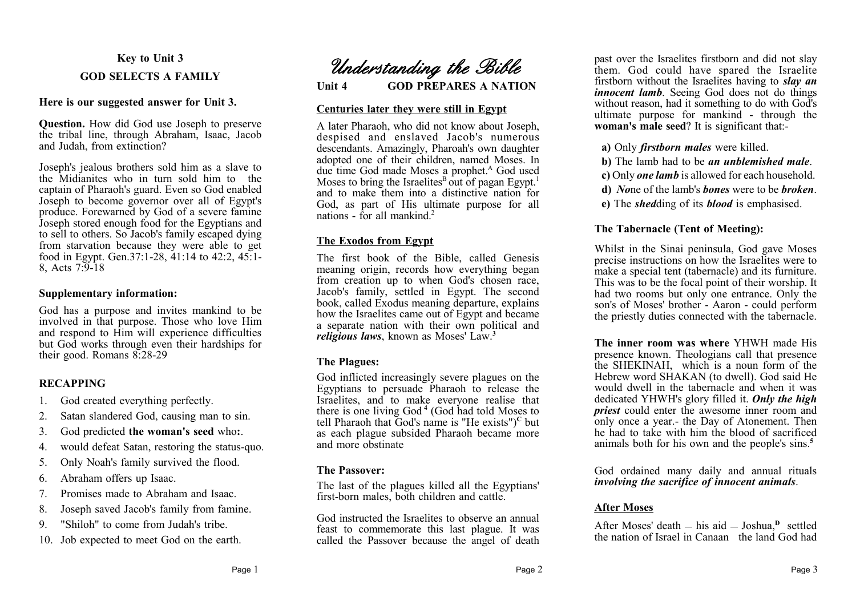## **Key to Unit 3**

## **GOD SELECTS A FAMILY**

# **Here is our suggested answer for Unit 3.**

**Question.** How did God use Joseph to preserve the tribal line, through Abraham, Isaac, Jacob and Judah, from extinction?

Joseph's jealous brothers sold him as a slave to the Midianites who in turn sold him to the captain of Pharaoh's guard. Even so God enabled Joseph to become governor over all of Egypt's produce. Forewarned by God of a severe famine Joseph stored enough food for the Egyptians and to sell to others. So Jacob's family escaped dying from starvation because they were able to get food in Egypt. Gen.37:1-28, 41:14 to 42:2, 45:1- 8, Acts 7:9-18

## **Supplementary information:**

God has a purpose and invites mankind to be involved in that purpose. Those who love Him and respond to Him will experience difficulties but God works through even their hardships for their good. Romans 8:28-29

# **RECAPPING**

- 1. God created everything perfectly.
- 2. Satan slandered God, causing man to sin.
- 3. God predicted **the woman's seed** who**:**.
- 4. would defeat Satan, restoring the status-quo.
- 5. Only Noah's family survived the flood.
- 6. Abraham offers up Isaac.
- 7. Promises made to Abraham and Isaac.
- 8. Joseph saved Jacob's family from famine.
- 9. "Shiloh" to come from Judah's tribe.
- 10. Job expected to meet God on the earth.

*Understanding the Bible*

**Unit 4 GOD PREPARES A NATION**

## **Centuries later they were still in Egypt**

A later Pharaoh, who did not know about Joseph, despised and enslaved Jacob's numerous descendants. Amazingly, Pharoah's own daughter adopted one of their children, named Moses. In due time God made Moses a prophet.<sup>A</sup> God used Moses to bring the Israelites<sup>B</sup> out of pagan Egypt.<sup>1</sup> and to make them into a distinctive nation for God, as part of His ultimate purpose for all nations - for all mankind<sup>2</sup>

# **The Exodos from Egypt**

The first book of the Bible, called Genesis meaning origin, records how everything began from creation up to when God's chosen race, Jacob's family, settled in Egypt. The second book, called Exodus meaning departure, explains how the Israelites came out of Egypt and became a separate nation with their own political and *religious laws*, known as Moses' Law.**<sup>3</sup>**

# **The Plagues:**

God inflicted increasingly severe plagues on the Egyptians to persuade Pharaoh to release the Israelites, and to make everyone realise that there is one living God **<sup>4</sup>** (God had told Moses to tell Pharaoh that God's name is "He exists")**<sup>C</sup>** but as each plague subsided Pharaoh became more and more obstinate

# **The Passover:**

The last of the plagues killed all the Egyptians' first-born males, both children and cattle.

God instructed the Israelites to observe an annual feast to commemorate this last plague. It was called the Passover because the angel of death

past over the Israelites firstborn and did not slay them. God could have spared the Israelite firstborn without the Israelites having to *slay an innocent lamb.* Seeing God does not do things without reason, had it something to do with God's ultimate purpose for mankind - through the **woman's male seed**? It is significant that:-

- **a)** Only *firstborn males* were killed.
- **b)** The lamb had to be *an unblemished male*.
- **c)** Only *one lamb* is allowed for each household.
- **d)** *No*ne of the lamb's *bones* were to be *broken*.
- **e)** The *shed*ding of its *blood* is emphasised.

# **The Tabernacle (Tent of Meeting):**

Whilst in the Sinai peninsula, God gave Moses precise instructions on how the Israelites were to make a special tent (tabernacle) and its furniture. This was to be the focal point of their worship. It had two rooms but only one entrance. Only the son's of Moses' brother - Aaron - could perform the priestly duties connected with the tabernacle.

**The inner room was where** YHWH made His presence known. Theologians call that presence the SHEKINAH, which is a noun form of the Hebrew word SHAKAN (to dwell). God said He would dwell in the tabernacle and when it was dedicated YHWH's glory filled it. *Only the high priest* could enter the awesome inner room and only once a year.- the Day of Atonement. Then he had to take with him the blood of sacrificed animals both for his own and the people's sins.**<sup>5</sup>**

God ordained many daily and annual rituals *involving the sacrifice of innocent animals*.

# **After Moses**

After Moses' death – his aid – Joshua,<sup>p</sup> settled the nation of Israel in Canaan the land God had